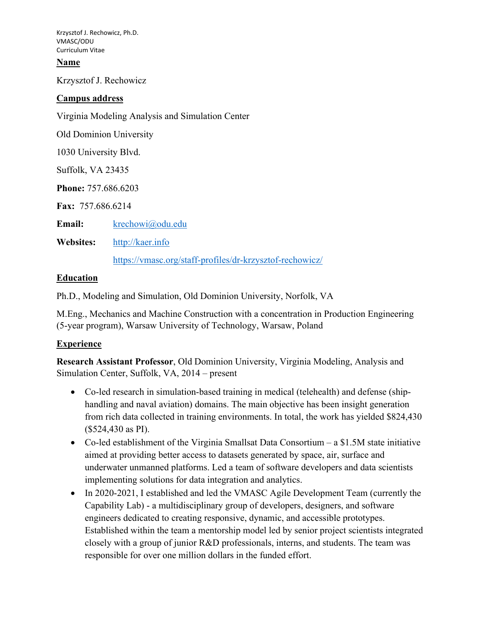### **Name**

Krzysztof J. Rechowicz

### **Campus address**

Virginia Modeling Analysis and Simulation Center

Old Dominion University

1030 University Blvd.

Suffolk, VA 23435

**Phone:** 757.686.6203

**Fax:** 757.686.6214

**Email:** [krechowi@odu.edu](mailto:krechowi@odu.edu)

**Websites:** [http://kaer.info](http://kaer.info/) 

<https://vmasc.org/staff-profiles/dr-krzysztof-rechowicz/>

### **Education**

Ph.D., Modeling and Simulation, Old Dominion University, Norfolk, VA

M.Eng., Mechanics and Machine Construction with a concentration in Production Engineering (5-year program), Warsaw University of Technology, Warsaw, Poland

### **Experience**

**Research Assistant Professor**, Old Dominion University, Virginia Modeling, Analysis and Simulation Center, Suffolk, VA, 2014 – present

- Co-led research in simulation-based training in medical (telehealth) and defense (shiphandling and naval aviation) domains. The main objective has been insight generation from rich data collected in training environments. In total, the work has yielded \$824,430 (\$524,430 as PI).
- Co-led establishment of the Virginia Smallsat Data Consortium a \$1.5M state initiative aimed at providing better access to datasets generated by space, air, surface and underwater unmanned platforms. Led a team of software developers and data scientists implementing solutions for data integration and analytics.
- In 2020-2021, I established and led the VMASC Agile Development Team (currently the Capability Lab) - a multidisciplinary group of developers, designers, and software engineers dedicated to creating responsive, dynamic, and accessible prototypes. Established within the team a mentorship model led by senior project scientists integrated closely with a group of junior R&D professionals, interns, and students. The team was responsible for over one million dollars in the funded effort.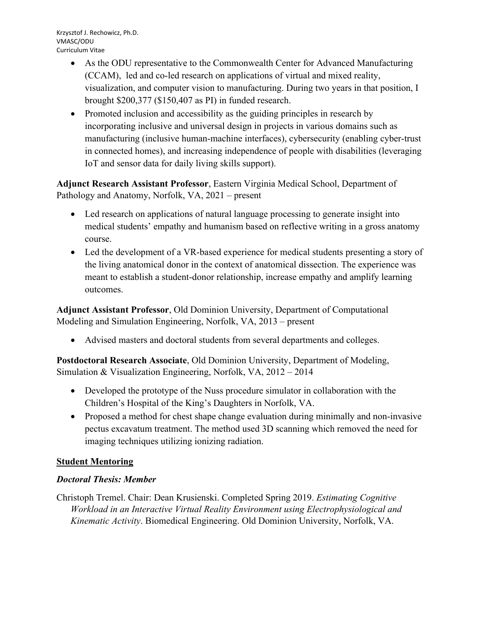- As the ODU representative to the Commonwealth Center for Advanced Manufacturing (CCAM), led and co-led research on applications of virtual and mixed reality, visualization, and computer vision to manufacturing. During two years in that position, I brought \$200,377 (\$150,407 as PI) in funded research.
- Promoted inclusion and accessibility as the guiding principles in research by incorporating inclusive and universal design in projects in various domains such as manufacturing (inclusive human-machine interfaces), cybersecurity (enabling cyber-trust in connected homes), and increasing independence of people with disabilities (leveraging IoT and sensor data for daily living skills support).

**Adjunct Research Assistant Professor**, Eastern Virginia Medical School, Department of Pathology and Anatomy, Norfolk, VA, 2021 – present

- Led research on applications of natural language processing to generate insight into medical students' empathy and humanism based on reflective writing in a gross anatomy course.
- Led the development of a VR-based experience for medical students presenting a story of the living anatomical donor in the context of anatomical dissection. The experience was meant to establish a student-donor relationship, increase empathy and amplify learning outcomes.

**Adjunct Assistant Professor**, Old Dominion University, Department of Computational Modeling and Simulation Engineering, Norfolk, VA, 2013 – present

• Advised masters and doctoral students from several departments and colleges.

**Postdoctoral Research Associate**, Old Dominion University, Department of Modeling, Simulation & Visualization Engineering, Norfolk, VA, 2012 – 2014

- Developed the prototype of the Nuss procedure simulator in collaboration with the Children's Hospital of the King's Daughters in Norfolk, VA.
- Proposed a method for chest shape change evaluation during minimally and non-invasive pectus excavatum treatment. The method used 3D scanning which removed the need for imaging techniques utilizing ionizing radiation.

# **Student Mentoring**

# *Doctoral Thesis: Member*

Christoph Tremel. Chair: Dean Krusienski. Completed Spring 2019. *Estimating Cognitive Workload in an Interactive Virtual Reality Environment using Electrophysiological and Kinematic Activity*. Biomedical Engineering. Old Dominion University, Norfolk, VA.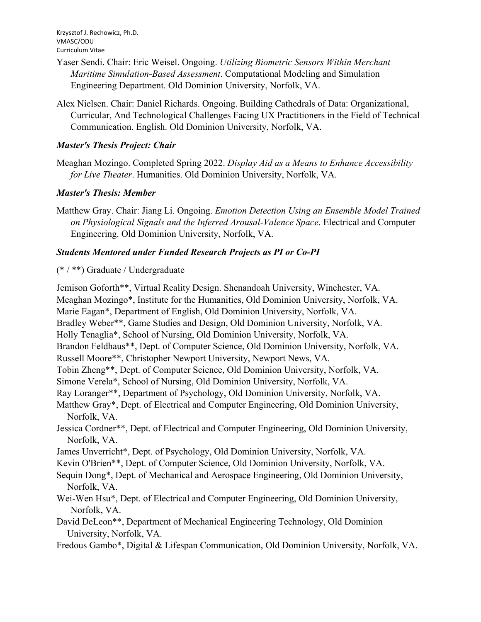- Yaser Sendi. Chair: Eric Weisel. Ongoing. *Utilizing Biometric Sensors Within Merchant Maritime Simulation-Based Assessment*. Computational Modeling and Simulation Engineering Department. Old Dominion University, Norfolk, VA.
- Alex Nielsen. Chair: Daniel Richards. Ongoing. Building Cathedrals of Data: Organizational, Curricular, And Technological Challenges Facing UX Practitioners in the Field of Technical Communication. English. Old Dominion University, Norfolk, VA.

## *Master's Thesis Project: Chair*

Meaghan Mozingo. Completed Spring 2022. *Display Aid as a Means to Enhance Accessibility for Live Theater*. Humanities. Old Dominion University, Norfolk, VA.

## *Master's Thesis: Member*

Matthew Gray. Chair: Jiang Li. Ongoing. *Emotion Detection Using an Ensemble Model Trained on Physiological Signals and the Inferred Arousal-Valence Space*. Electrical and Computer Engineering. Old Dominion University, Norfolk, VA.

## *Students Mentored under Funded Research Projects as PI or Co-PI*

(\* / \*\*) Graduate / Undergraduate

Jemison Goforth\*\*, Virtual Reality Design. Shenandoah University, Winchester, VA. Meaghan Mozingo\*, Institute for the Humanities, Old Dominion University, Norfolk, VA. Marie Eagan\*, Department of English, Old Dominion University, Norfolk, VA. Bradley Weber\*\*, Game Studies and Design, Old Dominion University, Norfolk, VA. Holly Tenaglia\*, School of Nursing, Old Dominion University, Norfolk, VA. Brandon Feldhaus\*\*, Dept. of Computer Science, Old Dominion University, Norfolk, VA. Russell Moore\*\*, Christopher Newport University, Newport News, VA. Tobin Zheng\*\*, Dept. of Computer Science, Old Dominion University, Norfolk, VA. Simone Verela\*, School of Nursing, Old Dominion University, Norfolk, VA. Ray Loranger\*\*, Department of Psychology, Old Dominion University, Norfolk, VA. Matthew Gray\*, Dept. of Electrical and Computer Engineering, Old Dominion University, Norfolk, VA. Jessica Cordner\*\*, Dept. of Electrical and Computer Engineering, Old Dominion University, Norfolk, VA. James Unverricht\*, Dept. of Psychology, Old Dominion University, Norfolk, VA. Kevin O'Brien\*\*, Dept. of Computer Science, Old Dominion University, Norfolk, VA. Sequin Dong\*, Dept. of Mechanical and Aerospace Engineering, Old Dominion University, Norfolk, VA. Wei-Wen Hsu\*, Dept. of Electrical and Computer Engineering, Old Dominion University, Norfolk, VA. David DeLeon\*\*, Department of Mechanical Engineering Technology, Old Dominion

University, Norfolk, VA.

Fredous Gambo\*, Digital & Lifespan Communication, Old Dominion University, Norfolk, VA.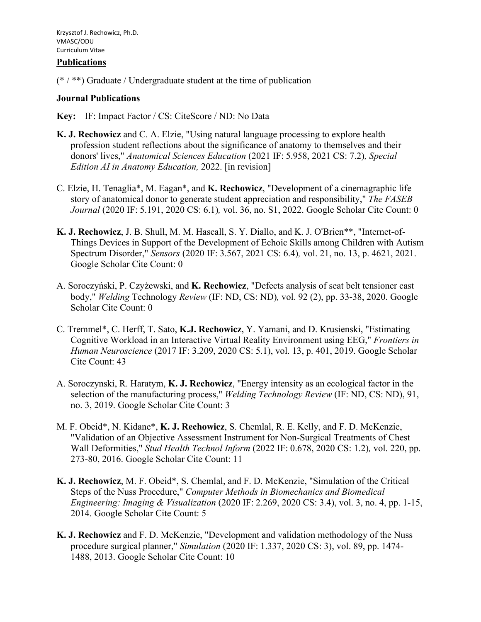#### **Publications**

 $(*$  / \*\*) Graduate / Undergraduate student at the time of publication

#### **Journal Publications**

**Key:** IF: Impact Factor / CS: CiteScore / ND: No Data

- **K. J. Rechowicz** and C. A. Elzie, "Using natural language processing to explore health profession student reflections about the significance of anatomy to themselves and their donors' lives," *Anatomical Sciences Education* (2021 IF: 5.958, 2021 CS: 7.2)*, Special Edition AI in Anatomy Education,* 2022. [in revision]
- C. Elzie, H. Tenaglia\*, M. Eagan\*, and **K. Rechowicz**, "Development of a cinemagraphic life story of anatomical donor to generate student appreciation and responsibility," *The FASEB Journal* (2020 IF: 5.191, 2020 CS: 6.1)*,* vol. 36, no. S1, 2022. Google Scholar Cite Count: 0
- **K. J. Rechowicz**, J. B. Shull, M. M. Hascall, S. Y. Diallo, and K. J. O'Brien\*\*, "Internet-of-Things Devices in Support of the Development of Echoic Skills among Children with Autism Spectrum Disorder," *Sensors* (2020 IF: 3.567, 2021 CS: 6.4)*,* vol. 21, no. 13, p. 4621, 2021. Google Scholar Cite Count: 0
- A. Soroczyński, P. Czyżewski, and **K. Rechowicz**, "Defects analysis of seat belt tensioner cast body," *Welding* Technology *Review* (IF: ND, CS: ND)*,* vol. 92 (2), pp. 33-38, 2020. Google Scholar Cite Count: 0
- C. Tremmel\*, C. Herff, T. Sato, **K.J. Rechowicz**, Y. Yamani, and D. Krusienski, "Estimating Cognitive Workload in an Interactive Virtual Reality Environment using EEG," *Frontiers in Human Neuroscience* (2017 IF: 3.209, 2020 CS: 5.1), vol. 13, p. 401, 2019. Google Scholar Cite Count: 43
- A. Soroczynski, R. Haratym, **K. J. Rechowicz**, "Energy intensity as an ecological factor in the selection of the manufacturing process," *Welding Technology Review* (IF: ND, CS: ND), 91, no. 3, 2019. Google Scholar Cite Count: 3
- M. F. Obeid\*, N. Kidane\*, **K. J. Rechowicz**, S. Chemlal, R. E. Kelly, and F. D. McKenzie, "Validation of an Objective Assessment Instrument for Non-Surgical Treatments of Chest Wall Deformities," *Stud Health Technol Inform* (2022 IF: 0.678, 2020 CS: 1.2)*,* vol. 220, pp. 273-80, 2016. Google Scholar Cite Count: 11
- **K. J. Rechowicz**, M. F. Obeid\*, S. Chemlal, and F. D. McKenzie, "Simulation of the Critical Steps of the Nuss Procedure," *Computer Methods in Biomechanics and Biomedical Engineering: Imaging & Visualization* (2020 IF: 2.269, 2020 CS: 3.4), vol. 3, no. 4, pp. 1-15, 2014. Google Scholar Cite Count: 5
- **K. J. Rechowicz** and F. D. McKenzie, "Development and validation methodology of the Nuss procedure surgical planner," *Simulation* (2020 IF: 1.337, 2020 CS: 3), vol. 89, pp. 1474- 1488, 2013. Google Scholar Cite Count: 10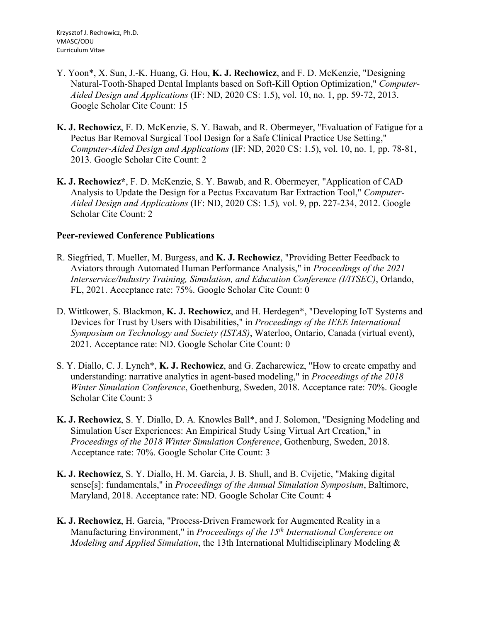- Y. Yoon\*, X. Sun, J.-K. Huang, G. Hou, **K. J. Rechowicz**, and F. D. McKenzie, "Designing Natural-Tooth-Shaped Dental Implants based on Soft-Kill Option Optimization," *Computer-Aided Design and Applications* (IF: ND, 2020 CS: 1.5), vol. 10, no. 1, pp. 59-72, 2013. Google Scholar Cite Count: 15
- **K. J. Rechowicz**, F. D. McKenzie, S. Y. Bawab, and R. Obermeyer, "Evaluation of Fatigue for a Pectus Bar Removal Surgical Tool Design for a Safe Clinical Practice Use Setting," *Computer-Aided Design and Applications* (IF: ND, 2020 CS: 1.5), vol. 10, no. 1*,* pp. 78-81, 2013. Google Scholar Cite Count: 2
- **K. J. Rechowicz\***, F. D. McKenzie, S. Y. Bawab, and R. Obermeyer, "Application of CAD Analysis to Update the Design for a Pectus Excavatum Bar Extraction Tool," *Computer-Aided Design and Applications* (IF: ND, 2020 CS: 1.5)*,* vol. 9, pp. 227-234, 2012. Google Scholar Cite Count: 2

### **Peer-reviewed Conference Publications**

- R. Siegfried, T. Mueller, M. Burgess, and **K. J. Rechowicz**, "Providing Better Feedback to Aviators through Automated Human Performance Analysis," in *Proceedings of the 2021 Interservice/Industry Training, Simulation, and Education Conference (I/ITSEC)*, Orlando, FL, 2021. Acceptance rate: 75%. Google Scholar Cite Count: 0
- D. Wittkower, S. Blackmon, **K. J. Rechowicz**, and H. Herdegen\*, "Developing IoT Systems and Devices for Trust by Users with Disabilities," in *Proceedings of the IEEE International Symposium on Technology and Society (ISTAS)*, Waterloo, Ontario, Canada (virtual event), 2021. Acceptance rate: ND. Google Scholar Cite Count: 0
- S. Y. Diallo, C. J. Lynch\*, **K. J. Rechowicz**, and G. Zacharewicz, "How to create empathy and understanding: narrative analytics in agent-based modeling," in *Proceedings of the 2018 Winter Simulation Conference*, Goethenburg, Sweden, 2018. Acceptance rate: 70%. Google Scholar Cite Count: 3
- **K. J. Rechowicz**, S. Y. Diallo, D. A. Knowles Ball\*, and J. Solomon, "Designing Modeling and Simulation User Experiences: An Empirical Study Using Virtual Art Creation," in *Proceedings of the 2018 Winter Simulation Conference*, Gothenburg, Sweden, 2018. Acceptance rate: 70%. Google Scholar Cite Count: 3
- **K. J. Rechowicz**, S. Y. Diallo, H. M. Garcia, J. B. Shull, and B. Cvijetic, "Making digital sense[s]: fundamentals," in *Proceedings of the Annual Simulation Symposium*, Baltimore, Maryland, 2018. Acceptance rate: ND. Google Scholar Cite Count: 4
- **K. J. Rechowicz**, H. Garcia, "Process-Driven Framework for Augmented Reality in a Manufacturing Environment," in *Proceedings of the 15th International Conference on Modeling and Applied Simulation*, the 13th International Multidisciplinary Modeling &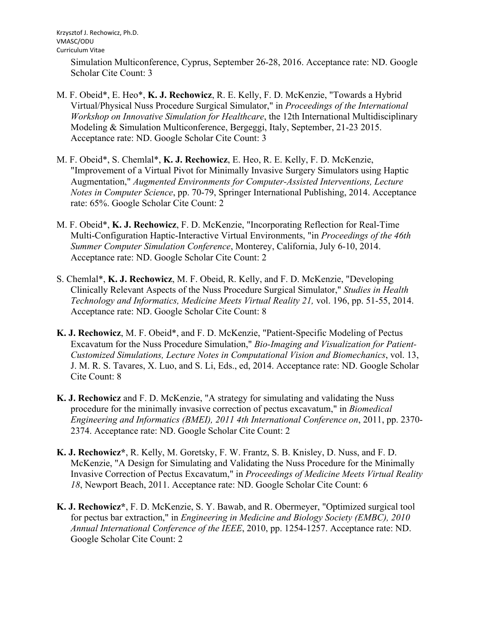Simulation Multiconference, Cyprus, September 26-28, 2016. Acceptance rate: ND. Google Scholar Cite Count: 3

- M. F. Obeid\*, E. Heo\*, **K. J. Rechowicz**, R. E. Kelly, F. D. McKenzie, "Towards a Hybrid Virtual/Physical Nuss Procedure Surgical Simulator," in *Proceedings of the International Workshop on Innovative Simulation for Healthcare*, the 12th International Multidisciplinary Modeling & Simulation Multiconference, Bergeggi, Italy, September, 21-23 2015. Acceptance rate: ND. Google Scholar Cite Count: 3
- M. F. Obeid\*, S. Chemlal\*, **K. J. Rechowicz**, E. Heo, R. E. Kelly, F. D. McKenzie, "Improvement of a Virtual Pivot for Minimally Invasive Surgery Simulators using Haptic Augmentation," *Augmented Environments for Computer-Assisted Interventions, Lecture Notes in Computer Science*, pp. 70-79, Springer International Publishing, 2014. Acceptance rate: 65%. Google Scholar Cite Count: 2
- M. F. Obeid\*, **K. J. Rechowicz**, F. D. McKenzie, "Incorporating Reflection for Real-Time Multi-Configuration Haptic-Interactive Virtual Environments, "in *Proceedings of the 46th Summer Computer Simulation Conference*, Monterey, California, July 6-10, 2014. Acceptance rate: ND. Google Scholar Cite Count: 2
- S. Chemlal\*, **K. J. Rechowicz**, M. F. Obeid, R. Kelly, and F. D. McKenzie, "Developing Clinically Relevant Aspects of the Nuss Procedure Surgical Simulator," *Studies in Health Technology and Informatics, Medicine Meets Virtual Reality 21,* vol. 196, pp. 51-55, 2014. Acceptance rate: ND. Google Scholar Cite Count: 8
- **K. J. Rechowicz**, M. F. Obeid\*, and F. D. McKenzie, "Patient-Specific Modeling of Pectus Excavatum for the Nuss Procedure Simulation," *Bio-Imaging and Visualization for Patient-Customized Simulations, Lecture Notes in Computational Vision and Biomechanics*, vol. 13, J. M. R. S. Tavares, X. Luo, and S. Li, Eds., ed, 2014. Acceptance rate: ND. Google Scholar Cite Count: 8
- **K. J. Rechowicz** and F. D. McKenzie, "A strategy for simulating and validating the Nuss procedure for the minimally invasive correction of pectus excavatum," in *Biomedical Engineering and Informatics (BMEI), 2011 4th International Conference on*, 2011, pp. 2370- 2374. Acceptance rate: ND. Google Scholar Cite Count: 2
- **K. J. Rechowicz\***, R. Kelly, M. Goretsky, F. W. Frantz, S. B. Knisley, D. Nuss, and F. D. McKenzie, "A Design for Simulating and Validating the Nuss Procedure for the Minimally Invasive Correction of Pectus Excavatum," in *Proceedings of Medicine Meets Virtual Reality 18*, Newport Beach, 2011. Acceptance rate: ND. Google Scholar Cite Count: 6
- **K. J. Rechowicz\***, F. D. McKenzie, S. Y. Bawab, and R. Obermeyer, "Optimized surgical tool for pectus bar extraction," in *Engineering in Medicine and Biology Society (EMBC), 2010 Annual International Conference of the IEEE*, 2010, pp. 1254-1257. Acceptance rate: ND. Google Scholar Cite Count: 2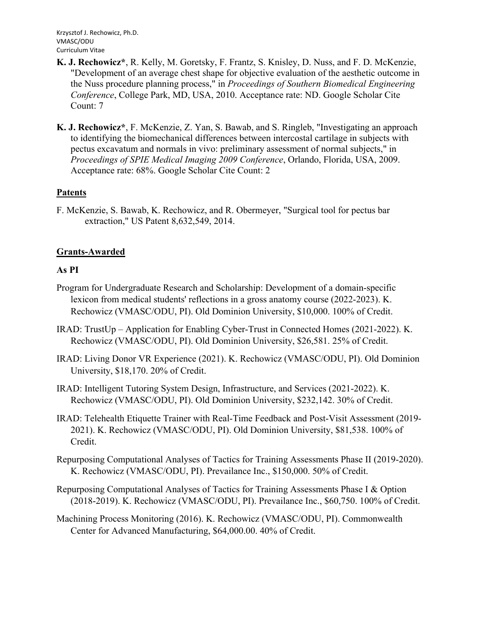- **K. J. Rechowicz\***, R. Kelly, M. Goretsky, F. Frantz, S. Knisley, D. Nuss, and F. D. McKenzie, "Development of an average chest shape for objective evaluation of the aesthetic outcome in the Nuss procedure planning process," in *Proceedings of Southern Biomedical Engineering Conference*, College Park, MD, USA, 2010. Acceptance rate: ND. Google Scholar Cite Count: 7
- **K. J. Rechowicz\***, F. McKenzie, Z. Yan, S. Bawab, and S. Ringleb, "Investigating an approach to identifying the biomechanical differences between intercostal cartilage in subjects with pectus excavatum and normals in vivo: preliminary assessment of normal subjects," in *Proceedings of SPIE Medical Imaging 2009 Conference*, Orlando, Florida, USA, 2009. Acceptance rate: 68%. Google Scholar Cite Count: 2

## **Patents**

F. McKenzie, S. Bawab, K. Rechowicz, and R. Obermeyer, "Surgical tool for pectus bar extraction," US Patent 8,632,549, 2014.

## **Grants-Awarded**

## **As PI**

- Program for Undergraduate Research and Scholarship: Development of a domain-specific lexicon from medical students' reflections in a gross anatomy course (2022-2023). K. Rechowicz (VMASC/ODU, PI). Old Dominion University, \$10,000. 100% of Credit.
- IRAD: TrustUp Application for Enabling Cyber-Trust in Connected Homes (2021-2022). K. Rechowicz (VMASC/ODU, PI). Old Dominion University, \$26,581. 25% of Credit.
- IRAD: Living Donor VR Experience (2021). K. Rechowicz (VMASC/ODU, PI). Old Dominion University, \$18,170. 20% of Credit.
- IRAD: Intelligent Tutoring System Design, Infrastructure, and Services (2021-2022). K. Rechowicz (VMASC/ODU, PI). Old Dominion University, \$232,142. 30% of Credit.
- IRAD: Telehealth Etiquette Trainer with Real-Time Feedback and Post-Visit Assessment (2019- 2021). K. Rechowicz (VMASC/ODU, PI). Old Dominion University, \$81,538. 100% of Credit.
- Repurposing Computational Analyses of Tactics for Training Assessments Phase II (2019-2020). K. Rechowicz (VMASC/ODU, PI). Prevailance Inc., \$150,000. 50% of Credit.
- Repurposing Computational Analyses of Tactics for Training Assessments Phase I & Option (2018-2019). K. Rechowicz (VMASC/ODU, PI). Prevailance Inc., \$60,750. 100% of Credit.
- Machining Process Monitoring (2016). K. Rechowicz (VMASC/ODU, PI). Commonwealth Center for Advanced Manufacturing, \$64,000.00. 40% of Credit.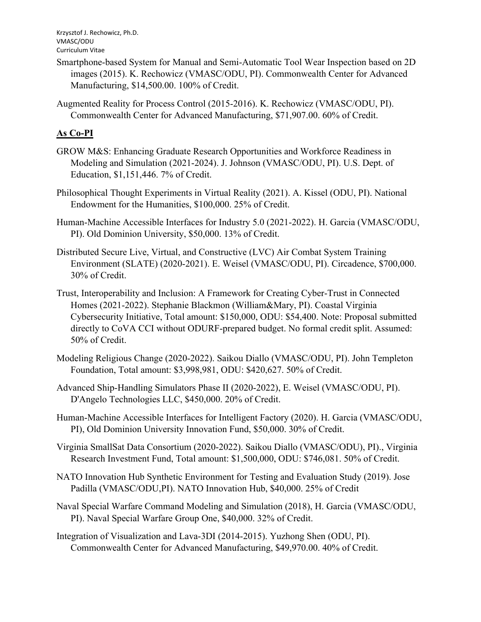- Smartphone-based System for Manual and Semi-Automatic Tool Wear Inspection based on 2D images (2015). K. Rechowicz (VMASC/ODU, PI). Commonwealth Center for Advanced Manufacturing, \$14,500.00. 100% of Credit.
- Augmented Reality for Process Control (2015-2016). K. Rechowicz (VMASC/ODU, PI). Commonwealth Center for Advanced Manufacturing, \$71,907.00. 60% of Credit.

# **As Co-PI**

- GROW M&S: Enhancing Graduate Research Opportunities and Workforce Readiness in Modeling and Simulation (2021-2024). J. Johnson (VMASC/ODU, PI). U.S. Dept. of Education, \$1,151,446. 7% of Credit.
- Philosophical Thought Experiments in Virtual Reality (2021). A. Kissel (ODU, PI). National Endowment for the Humanities, \$100,000. 25% of Credit.
- Human-Machine Accessible Interfaces for Industry 5.0 (2021-2022). H. Garcia (VMASC/ODU, PI). Old Dominion University, \$50,000. 13% of Credit.
- Distributed Secure Live, Virtual, and Constructive (LVC) Air Combat System Training Environment (SLATE) (2020-2021). E. Weisel (VMASC/ODU, PI). Circadence, \$700,000. 30% of Credit.
- Trust, Interoperability and Inclusion: A Framework for Creating Cyber-Trust in Connected Homes (2021-2022). Stephanie Blackmon (William&Mary, PI). Coastal Virginia Cybersecurity Initiative, Total amount: \$150,000, ODU: \$54,400. Note: Proposal submitted directly to CoVA CCI without ODURF-prepared budget. No formal credit split. Assumed: 50% of Credit.
- Modeling Religious Change (2020-2022). Saikou Diallo (VMASC/ODU, PI). John Templeton Foundation, Total amount: \$3,998,981, ODU: \$420,627. 50% of Credit.
- Advanced Ship-Handling Simulators Phase II (2020-2022), E. Weisel (VMASC/ODU, PI). D'Angelo Technologies LLC, \$450,000. 20% of Credit.
- Human-Machine Accessible Interfaces for Intelligent Factory (2020). H. Garcia (VMASC/ODU, PI), Old Dominion University Innovation Fund, \$50,000. 30% of Credit.
- Virginia SmallSat Data Consortium (2020-2022). Saikou Diallo (VMASC/ODU), PI)., Virginia Research Investment Fund, Total amount: \$1,500,000, ODU: \$746,081. 50% of Credit.
- NATO Innovation Hub Synthetic Environment for Testing and Evaluation Study (2019). Jose Padilla (VMASC/ODU,PI). NATO Innovation Hub, \$40,000. 25% of Credit
- Naval Special Warfare Command Modeling and Simulation (2018), H. Garcia (VMASC/ODU, PI). Naval Special Warfare Group One, \$40,000. 32% of Credit.
- Integration of Visualization and Lava-3DI (2014-2015). Yuzhong Shen (ODU, PI). Commonwealth Center for Advanced Manufacturing, \$49,970.00. 40% of Credit.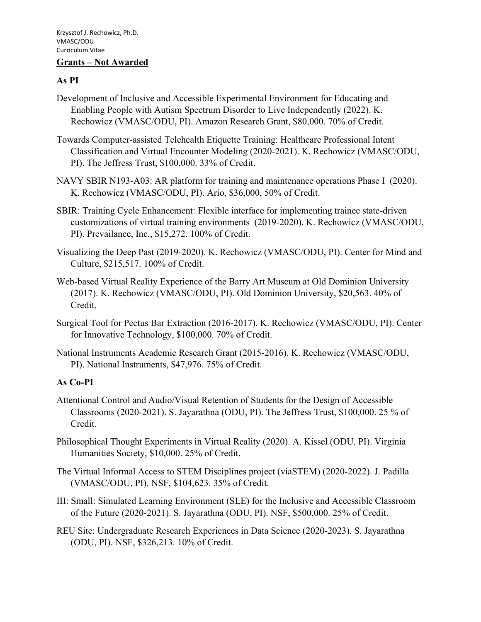#### **Grants – Not Awarded**

### **As PI**

- Development of Inclusive and Accessible Experimental Environment for Educating and Enabling People with Autism Spectrum Disorder to Live Independently (2022). K. Rechowicz (VMASC/ODU, PI). Amazon Research Grant, \$80,000. 70% of Credit.
- Towards Computer-assisted Telehealth Etiquette Training: Healthcare Professional Intent Classification and Virtual Encounter Modeling (2020-2021). K. Rechowicz (VMASC/ODU, PI). The Jeffress Trust, \$100,000. 33% of Credit.
- NAVY SBIR N193-A03: AR platform for training and maintenance operations Phase I (2020). K. Rechowicz (VMASC/ODU, PI). Ario, \$36,000, 50% of Credit.
- SBIR: Training Cycle Enhancement: Flexible interface for implementing trainee state-driven customizations of virtual training environments (2019-2020). K. Rechowicz (VMASC/ODU, PI). Prevailance, Inc., \$15,272. 100% of Credit.
- Visualizing the Deep Past (2019-2020). K. Rechowicz (VMASC/ODU, PI). Center for Mind and Culture, \$215,517. 100% of Credit.
- Web-based Virtual Reality Experience of the Barry Art Museum at Old Dominion University (2017). K. Rechowicz (VMASC/ODU, PI). Old Dominion University, \$20,563. 40% of Credit.
- Surgical Tool for Pectus Bar Extraction (2016-2017). K. Rechowicz (VMASC/ODU, PI). Center for Innovative Technology, \$100,000. 70% of Credit.
- National Instruments Academic Research Grant (2015-2016). K. Rechowicz (VMASC/ODU, PI). National Instruments, \$47,976. 75% of Credit.

## **As Co-PI**

- Attentional Control and Audio/Visual Retention of Students for the Design of Accessible Classrooms (2020-2021). S. Jayarathna (ODU, PI). The Jeffress Trust, \$100,000. 25 % of Credit.
- Philosophical Thought Experiments in Virtual Reality (2020). A. Kissel (ODU, PI). Virginia Humanities Society, \$10,000. 25% of Credit.
- The Virtual Informal Access to STEM Disciplines project (viaSTEM) (2020-2022). J. Padilla (VMASC/ODU, PI). NSF, \$104,623. 35% of Credit.
- III: Small: Simulated Learning Environment (SLE) for the Inclusive and Accessible Classroom of the Future (2020-2021). S. Jayarathna (ODU, PI). NSF, \$500,000. 25% of Credit.
- REU Site: Undergraduate Research Experiences in Data Science (2020-2023). S. Jayarathna (ODU, PI). NSF, \$326,213. 10% of Credit.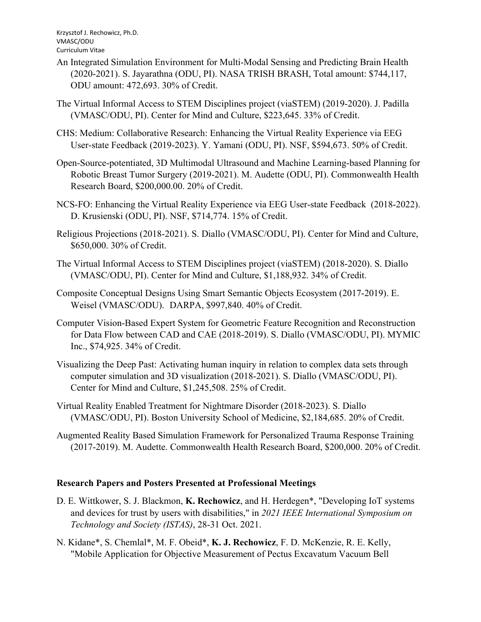- An Integrated Simulation Environment for Multi-Modal Sensing and Predicting Brain Health (2020-2021). S. Jayarathna (ODU, PI). NASA TRISH BRASH, Total amount: \$744,117, ODU amount: 472,693. 30% of Credit.
- The Virtual Informal Access to STEM Disciplines project (viaSTEM) (2019-2020). J. Padilla (VMASC/ODU, PI). Center for Mind and Culture, \$223,645. 33% of Credit.
- CHS: Medium: Collaborative Research: Enhancing the Virtual Reality Experience via EEG User-state Feedback (2019-2023). Y. Yamani (ODU, PI). NSF, \$594,673. 50% of Credit.
- Open-Source-potentiated, 3D Multimodal Ultrasound and Machine Learning-based Planning for Robotic Breast Tumor Surgery (2019-2021). M. Audette (ODU, PI). Commonwealth Health Research Board, \$200,000.00. 20% of Credit.
- NCS-FO: Enhancing the Virtual Reality Experience via EEG User-state Feedback (2018-2022). D. Krusienski (ODU, PI). NSF, \$714,774. 15% of Credit.
- Religious Projections (2018-2021). S. Diallo (VMASC/ODU, PI). Center for Mind and Culture, \$650,000. 30% of Credit.
- The Virtual Informal Access to STEM Disciplines project (viaSTEM) (2018-2020). S. Diallo (VMASC/ODU, PI). Center for Mind and Culture, \$1,188,932. 34% of Credit.
- Composite Conceptual Designs Using Smart Semantic Objects Ecosystem (2017-2019). E. Weisel (VMASC/ODU). DARPA, \$997,840. 40% of Credit.
- Computer Vision-Based Expert System for Geometric Feature Recognition and Reconstruction for Data Flow between CAD and CAE (2018-2019). S. Diallo (VMASC/ODU, PI). MYMIC Inc., \$74,925. 34% of Credit.
- Visualizing the Deep Past: Activating human inquiry in relation to complex data sets through computer simulation and 3D visualization (2018-2021). S. Diallo (VMASC/ODU, PI). Center for Mind and Culture, \$1,245,508. 25% of Credit.
- Virtual Reality Enabled Treatment for Nightmare Disorder (2018-2023). S. Diallo (VMASC/ODU, PI). Boston University School of Medicine, \$2,184,685. 20% of Credit.
- Augmented Reality Based Simulation Framework for Personalized Trauma Response Training (2017-2019). M. Audette. Commonwealth Health Research Board, \$200,000. 20% of Credit.

## **Research Papers and Posters Presented at Professional Meetings**

- D. E. Wittkower, S. J. Blackmon, **K. Rechowicz**, and H. Herdegen\*, "Developing IoT systems and devices for trust by users with disabilities," in *2021 IEEE International Symposium on Technology and Society (ISTAS)*, 28-31 Oct. 2021.
- N. Kidane\*, S. Chemlal\*, M. F. Obeid\*, **K. J. Rechowicz**, F. D. McKenzie, R. E. Kelly, "Mobile Application for Objective Measurement of Pectus Excavatum Vacuum Bell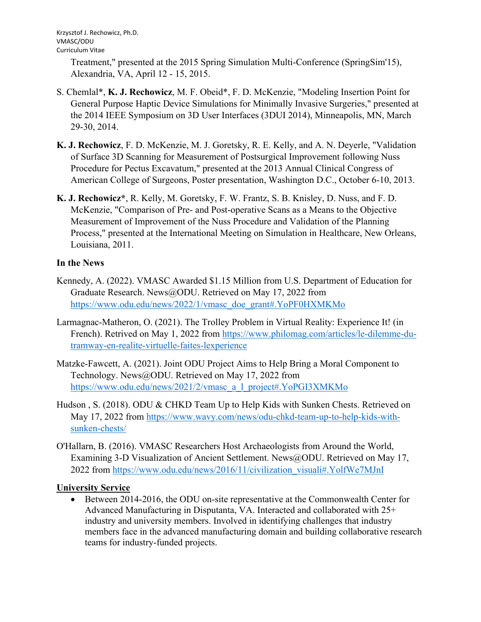Treatment," presented at the 2015 Spring Simulation Multi-Conference (SpringSim'15), Alexandria, VA, April 12 - 15, 2015.

- S. Chemlal\*, **K. J. Rechowicz**, M. F. Obeid\*, F. D. McKenzie, "Modeling Insertion Point for General Purpose Haptic Device Simulations for Minimally Invasive Surgeries," presented at the 2014 IEEE Symposium on 3D User Interfaces (3DUI 2014), Minneapolis, MN, March 29-30, 2014.
- **K. J. Rechowicz**, F. D. McKenzie, M. J. Goretsky, R. E. Kelly, and A. N. Deyerle, "Validation of Surface 3D Scanning for Measurement of Postsurgical Improvement following Nuss Procedure for Pectus Excavatum," presented at the 2013 Annual Clinical Congress of American College of Surgeons, Poster presentation, Washington D.C., October 6-10, 2013.
- **K. J. Rechowicz\***, R. Kelly, M. Goretsky, F. W. Frantz, S. B. Knisley, D. Nuss, and F. D. McKenzie, "Comparison of Pre- and Post-operative Scans as a Means to the Objective Measurement of Improvement of the Nuss Procedure and Validation of the Planning Process," presented at the International Meeting on Simulation in Healthcare, New Orleans, Louisiana, 2011.

## **In the News**

- Kennedy, A. (2022). VMASC Awarded \$1.15 Million from U.S. Department of Education for Graduate Research. News@ODU. Retrieved on May 17, 2022 from https://www.odu.edu/news/2022/1/vmasc\_doe\_grant#.YoPF0HXMKMo
- Larmagnac-Matheron, O. (2021). The Trolley Problem in Virtual Reality: Experience It! (in French). Retrived on May 1, 2022 from https://www.philomag.com/articles/le-dilemme-dutramway-en-realite-virtuelle-faites-lexperience
- Matzke-Fawcett, A. (2021). Joint ODU Project Aims to Help Bring a Moral Component to Technology. News@ODU. Retrieved on May 17, 2022 from https://www.odu.edu/news/2021/2/vmasc\_a\_l\_project#.YoPGI3XMKMo
- Hudson , S. (2018). ODU & CHKD Team Up to Help Kids with Sunken Chests. Retrieved on May 17, 2022 from https://www.wavy.com/news/odu-chkd-team-up-to-help-kids-withsunken-chests/
- O'Hallarn, B. (2016). VMASC Researchers Host Archaeologists from Around the World, Examining 3-D Visualization of Ancient Settlement. News@ODU. Retrieved on May 17, 2022 from https://www.odu.edu/news/2016/11/civilization\_visuali#.YolfWe7MJnI

# **University Service**

• Between 2014-2016, the ODU on-site representative at the Commonwealth Center for Advanced Manufacturing in Disputanta, VA. Interacted and collaborated with 25+ industry and university members. Involved in identifying challenges that industry members face in the advanced manufacturing domain and building collaborative research teams for industry-funded projects.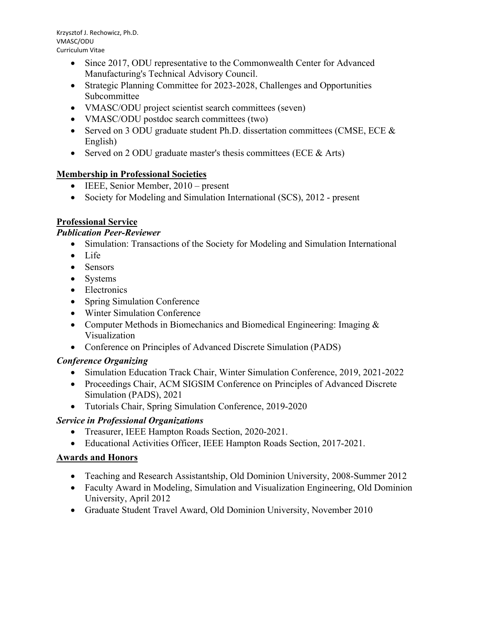- Since 2017, ODU representative to the Commonwealth Center for Advanced Manufacturing's Technical Advisory Council.
- Strategic Planning Committee for 2023-2028, Challenges and Opportunities Subcommittee
- VMASC/ODU project scientist search committees (seven)
- VMASC/ODU postdoc search committees (two)
- Served on 3 ODU graduate student Ph.D. dissertation committees (CMSE, ECE & English)
- Served on 2 ODU graduate master's thesis committees (ECE  $&Arts$ )

# **Membership in Professional Societies**

- IEEE, Senior Member, 2010 present
- Society for Modeling and Simulation International (SCS), 2012 present

# **Professional Service**

## *Publication Peer-Reviewer*

- Simulation: Transactions of the Society for Modeling and Simulation International
- Life
- Sensors
- Systems
- Electronics
- Spring Simulation Conference
- Winter Simulation Conference
- Computer Methods in Biomechanics and Biomedical Engineering: Imaging & Visualization
- Conference on Principles of Advanced Discrete Simulation (PADS)

# *Conference Organizing*

- Simulation Education Track Chair, Winter Simulation Conference, 2019, 2021-2022
- Proceedings Chair, ACM SIGSIM Conference on Principles of Advanced Discrete Simulation (PADS), 2021
- Tutorials Chair, Spring Simulation Conference, 2019-2020

# *Service in Professional Organizations*

- Treasurer, IEEE Hampton Roads Section, 2020-2021.
- Educational Activities Officer, IEEE Hampton Roads Section, 2017-2021.

# **Awards and Honors**

- Teaching and Research Assistantship, Old Dominion University, 2008-Summer 2012
- Faculty Award in Modeling, Simulation and Visualization Engineering, Old Dominion University, April 2012
- Graduate Student Travel Award, Old Dominion University, November 2010